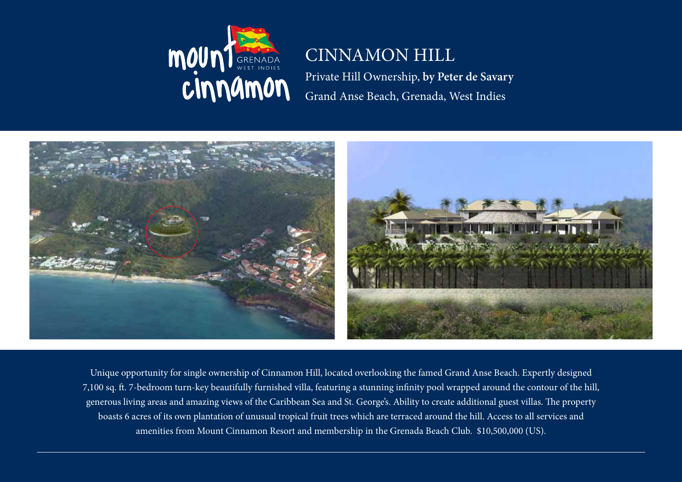

## CINNAMON HILL

Private Hill Ownership, **by Peter de Savary** Grand Anse Beach, Grenada, West Indies



Unique opportunity for single ownership of Cinnamon Hill, located overlooking the famed Grand Anse Beach. Expertly designed 7,100 sq. ft. 7-bedroom turn-key beautifully furnished villa, featuring a stunning infinity pool wrapped around the contour of the hill, generous living areas and amazing views of the Caribbean Sea and St. George's. Ability to create additional guest villas. The property boasts 6 acres of its own plantation of unusual tropical fruit trees which are terraced around the hill. Access to all services and amenities from Mount Cinnamon Resort and membership in the Grenada Beach Club. \$10,500,000 (US).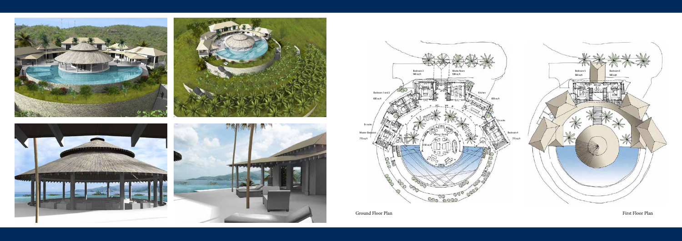

Master B









Ground Floor Plan First Floor Plan